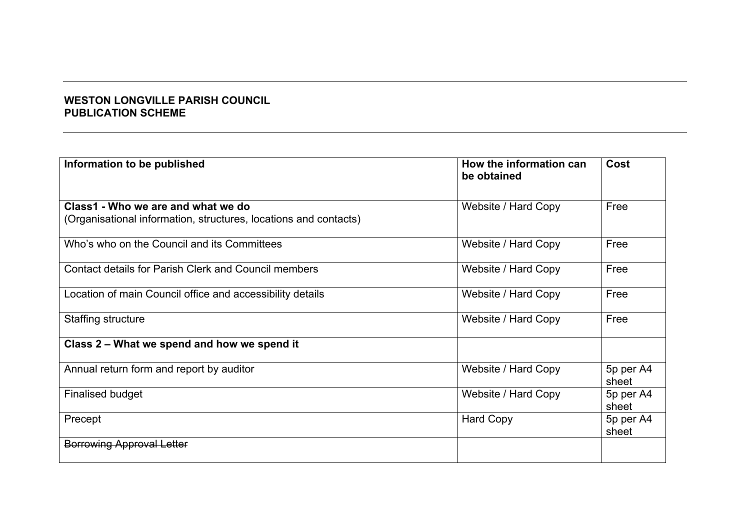## **WESTON LONGVILLE PARISH COUNCIL PUBLICATION SCHEME**

| Information to be published                                                                            | How the information can<br>be obtained | Cost               |
|--------------------------------------------------------------------------------------------------------|----------------------------------------|--------------------|
| Class1 - Who we are and what we do<br>(Organisational information, structures, locations and contacts) | Website / Hard Copy                    | Free               |
| Who's who on the Council and its Committees                                                            | Website / Hard Copy                    | Free               |
| <b>Contact details for Parish Clerk and Council members</b>                                            | Website / Hard Copy                    | Free               |
| Location of main Council office and accessibility details                                              | Website / Hard Copy                    | Free               |
| Staffing structure                                                                                     | Website / Hard Copy                    | Free               |
| Class 2 - What we spend and how we spend it                                                            |                                        |                    |
| Annual return form and report by auditor                                                               | Website / Hard Copy                    | 5p per A4<br>sheet |
| <b>Finalised budget</b>                                                                                | Website / Hard Copy                    | 5p per A4<br>sheet |
| Precept                                                                                                | <b>Hard Copy</b>                       | 5p per A4<br>sheet |
| <b>Borrowing Approval Letter</b>                                                                       |                                        |                    |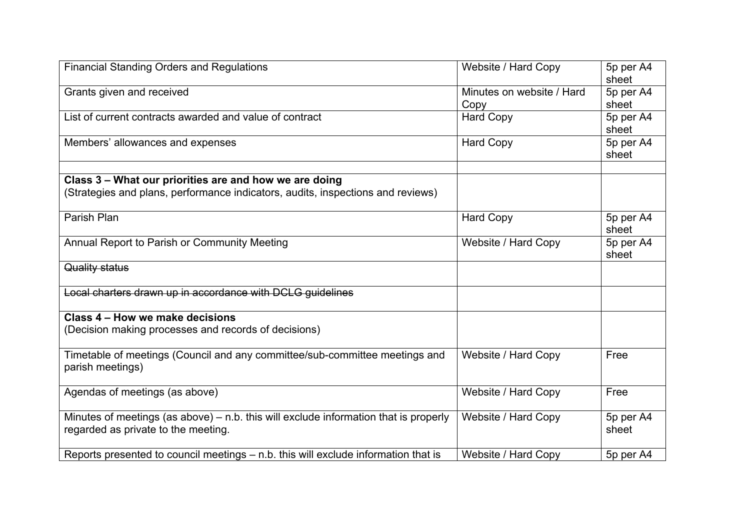| <b>Financial Standing Orders and Regulations</b>                                                                              | Website / Hard Copy               | 5p per A4<br>sheet |
|-------------------------------------------------------------------------------------------------------------------------------|-----------------------------------|--------------------|
| Grants given and received                                                                                                     | Minutes on website / Hard<br>Copy | 5p per A4<br>sheet |
| List of current contracts awarded and value of contract                                                                       | <b>Hard Copy</b>                  | 5p per A4<br>sheet |
| Members' allowances and expenses                                                                                              | <b>Hard Copy</b>                  | 5p per A4<br>sheet |
| Class 3 - What our priorities are and how we are doing                                                                        |                                   |                    |
| (Strategies and plans, performance indicators, audits, inspections and reviews)                                               |                                   |                    |
| Parish Plan                                                                                                                   | <b>Hard Copy</b>                  | 5p per A4<br>sheet |
| Annual Report to Parish or Community Meeting                                                                                  | Website / Hard Copy               | 5p per A4<br>sheet |
| Quality status                                                                                                                |                                   |                    |
| Local charters drawn up in accordance with DCLG guidelines                                                                    |                                   |                    |
| Class 4 – How we make decisions                                                                                               |                                   |                    |
| (Decision making processes and records of decisions)                                                                          |                                   |                    |
| Timetable of meetings (Council and any committee/sub-committee meetings and<br>parish meetings)                               | Website / Hard Copy               | Free               |
| Agendas of meetings (as above)                                                                                                | Website / Hard Copy               | Free               |
| Minutes of meetings (as above) $-$ n.b. this will exclude information that is properly<br>regarded as private to the meeting. | Website / Hard Copy               | 5p per A4<br>sheet |
| Reports presented to council meetings - n.b. this will exclude information that is                                            | Website / Hard Copy               | 5p per A4          |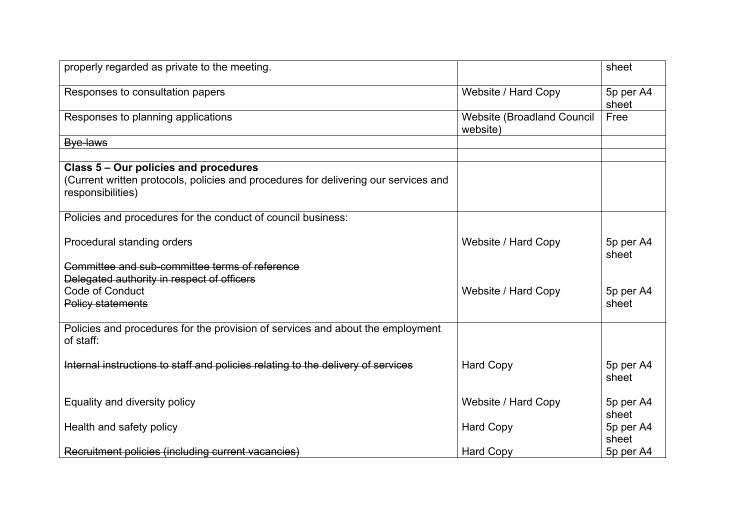| properly regarded as private to the meeting.                                                             |                                               | sheet              |
|----------------------------------------------------------------------------------------------------------|-----------------------------------------------|--------------------|
| Responses to consultation papers                                                                         | Website / Hard Copy                           | 5p per A4<br>sheet |
| Responses to planning applications                                                                       | <b>Website (Broadland Council</b><br>website) | Free               |
| Bye-laws                                                                                                 |                                               |                    |
| Class 5 – Our policies and procedures                                                                    |                                               |                    |
| (Current written protocols, policies and procedures for delivering our services and<br>responsibilities) |                                               |                    |
| Policies and procedures for the conduct of council business:                                             |                                               |                    |
| Procedural standing orders                                                                               | Website / Hard Copy                           | 5p per A4<br>sheet |
| Committee and sub-committee terms of reference<br>Delegated authority in respect of officers             |                                               |                    |
| Code of Conduct<br><b>Policy statements</b>                                                              | Website / Hard Copy                           | 5p per A4<br>sheet |
| Policies and procedures for the provision of services and about the employment<br>of staff:              |                                               |                    |
| Internal instructions to staff and policies relating to the delivery of services                         | <b>Hard Copy</b>                              | 5p per A4<br>sheet |
| Equality and diversity policy                                                                            | Website / Hard Copy                           | 5p per A4<br>sheet |
| Health and safety policy                                                                                 | <b>Hard Copy</b>                              | 5p per A4<br>sheet |
| Recruitment policies (including current vacancies)                                                       | <b>Hard Copy</b>                              | 5p per A4          |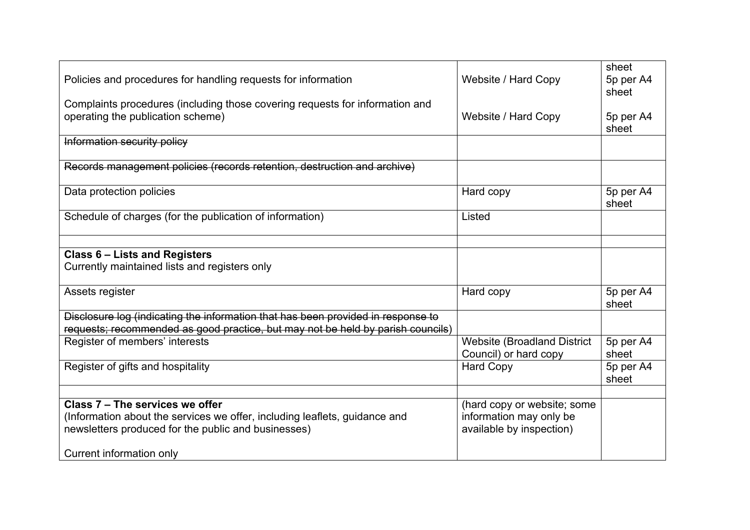| Policies and procedures for handling requests for information                                                     | Website / Hard Copy                                         | sheet<br>5p per A4<br>sheet |
|-------------------------------------------------------------------------------------------------------------------|-------------------------------------------------------------|-----------------------------|
| Complaints procedures (including those covering requests for information and<br>operating the publication scheme) | Website / Hard Copy                                         | 5p per A4<br>sheet          |
| Information security policy                                                                                       |                                                             |                             |
| Records management policies (records retention, destruction and archive)                                          |                                                             |                             |
| Data protection policies                                                                                          | Hard copy                                                   | 5p per A4<br>sheet          |
| Schedule of charges (for the publication of information)                                                          | Listed                                                      |                             |
|                                                                                                                   |                                                             |                             |
| <b>Class 6 - Lists and Registers</b><br>Currently maintained lists and registers only                             |                                                             |                             |
| Assets register                                                                                                   | Hard copy                                                   | 5p per A4<br>sheet          |
| Disclosure log (indicating the information that has been provided in response to                                  |                                                             |                             |
| requests; recommended as good practice, but may not be held by parish councils)                                   |                                                             |                             |
| Register of members' interests                                                                                    | <b>Website (Broadland District</b><br>Council) or hard copy | 5p per A4<br>sheet          |
| Register of gifts and hospitality                                                                                 | <b>Hard Copy</b>                                            | 5p per A4<br>sheet          |
|                                                                                                                   |                                                             |                             |
| Class 7 - The services we offer                                                                                   | (hard copy or website; some                                 |                             |
| (Information about the services we offer, including leaflets, guidance and                                        | information may only be                                     |                             |
| newsletters produced for the public and businesses)                                                               | available by inspection)                                    |                             |
| Current information only                                                                                          |                                                             |                             |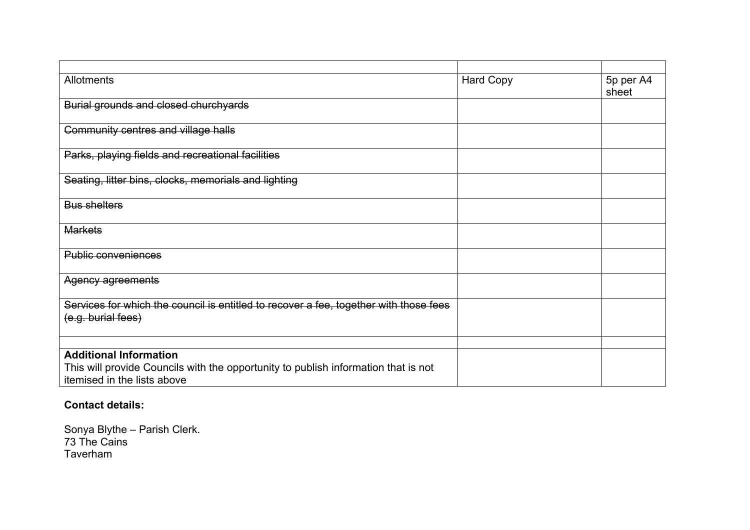| Allotments                                                                                                        | <b>Hard Copy</b> | 5p per A4<br>sheet |
|-------------------------------------------------------------------------------------------------------------------|------------------|--------------------|
| Burial grounds and closed churchyards                                                                             |                  |                    |
| Community centres and village halls                                                                               |                  |                    |
| Parks, playing fields and recreational facilities                                                                 |                  |                    |
| Seating, litter bins, clocks, memorials and lighting                                                              |                  |                    |
| <b>Bus shelters</b>                                                                                               |                  |                    |
| <b>Markets</b>                                                                                                    |                  |                    |
| <b>Public conveniences</b>                                                                                        |                  |                    |
| Agency agreements                                                                                                 |                  |                    |
| Services for which the council is entitled to recover a fee, together with those fees<br>(e.g. burial fees)       |                  |                    |
|                                                                                                                   |                  |                    |
| <b>Additional Information</b>                                                                                     |                  |                    |
| This will provide Councils with the opportunity to publish information that is not<br>itemised in the lists above |                  |                    |

## **Contact details:**

Sonya Blythe – Parish Clerk. 73 The Cains Taverham